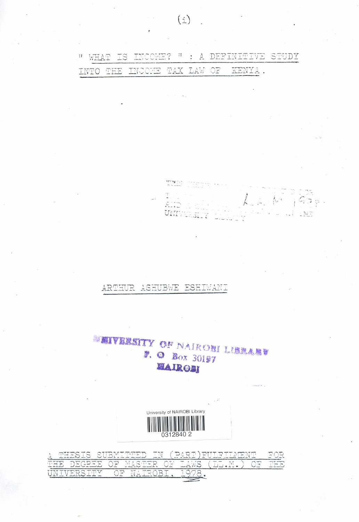" WHAT IS INCOME? " : A DEFINITIVE STUDY TAX LAW OF KENYA. INTO THE INCOME

 $\frac{2\pi\epsilon}{\Delta} \frac{1}{\Delta} \frac{1}{\Delta} \frac{1}{\Delta} \frac{1}{\Delta}$  $\frac{1}{2}$  $\mathcal{L}$  in the  $G_{\mathcal{F}}$  or .  $\overline{L}$  .  $\overline{L}$ UNIVE  $137$ 

## ARTHUR ASHUBWE ESHIWANI

**SEIVERSITY OF NAIRONI LIBRARY** P. O Box 30197 MAIRON



| -                                                | ASTS SIRMITMEN | ドマドル<br>, H ! ' |  |
|--------------------------------------------------|----------------|-----------------|--|
| 03042530 OB                                      | TERRIC SERVICE |                 |  |
| $\sim$ $\sim$ $\sim$ $\sim$ $\sim$ $\sim$ $\sim$ | $-1H$          |                 |  |